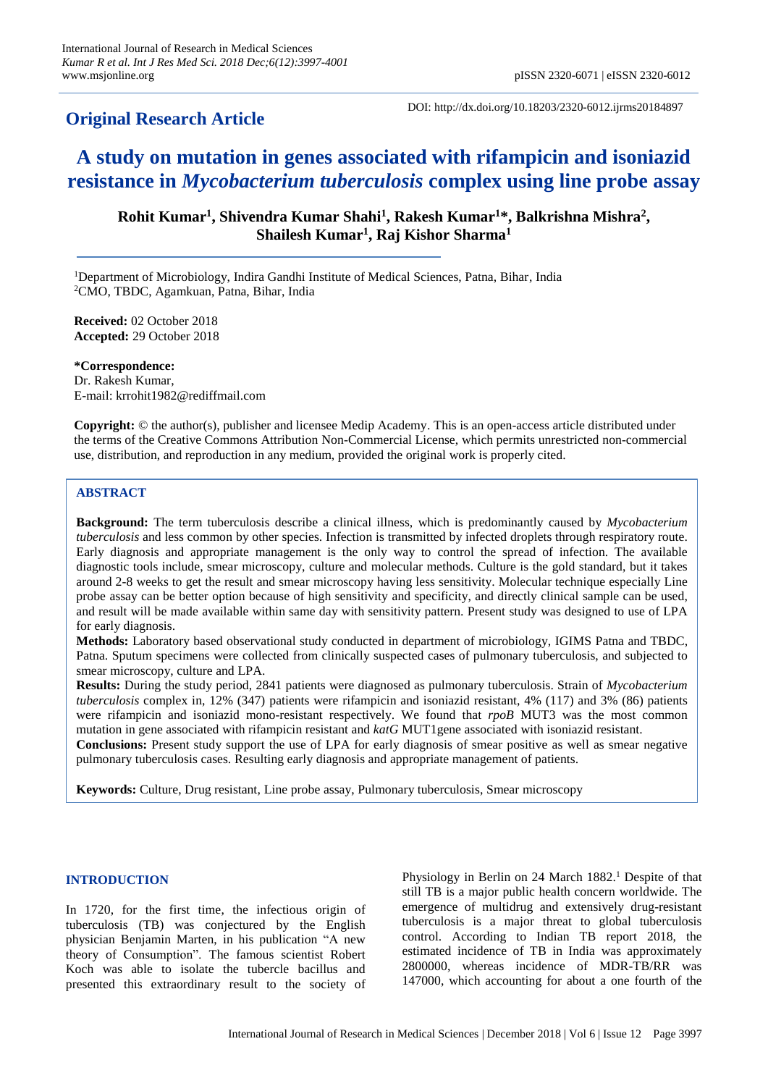# **Original Research Article**

DOI: http://dx.doi.org/10.18203/2320-6012.ijrms20184897

# **A study on mutation in genes associated with rifampicin and isoniazid resistance in** *Mycobacterium tuberculosis* **complex using line probe assay**

**Rohit Kumar<sup>1</sup> , Shivendra Kumar Shahi<sup>1</sup> , Rakesh Kumar<sup>1</sup>\*, Balkrishna Mishra<sup>2</sup> , Shailesh Kumar<sup>1</sup> , Raj Kishor Sharma<sup>1</sup>**

<sup>1</sup>Department of Microbiology, Indira Gandhi Institute of Medical Sciences, Patna, Bihar, India <sup>2</sup>CMO, TBDC, Agamkuan, Patna, Bihar, India

**Received:** 02 October 2018 **Accepted:** 29 October 2018

**\*Correspondence:** Dr. Rakesh Kumar, E-mail: krrohit1982@rediffmail.com

**Copyright:** © the author(s), publisher and licensee Medip Academy. This is an open-access article distributed under the terms of the Creative Commons Attribution Non-Commercial License, which permits unrestricted non-commercial use, distribution, and reproduction in any medium, provided the original work is properly cited.

# **ABSTRACT**

**Background:** The term tuberculosis describe a clinical illness, which is predominantly caused by *Mycobacterium tuberculosis* and less common by other species. Infection is transmitted by infected droplets through respiratory route. Early diagnosis and appropriate management is the only way to control the spread of infection. The available diagnostic tools include, smear microscopy, culture and molecular methods. Culture is the gold standard, but it takes around 2-8 weeks to get the result and smear microscopy having less sensitivity. Molecular technique especially Line probe assay can be better option because of high sensitivity and specificity, and directly clinical sample can be used, and result will be made available within same day with sensitivity pattern. Present study was designed to use of LPA for early diagnosis.

**Methods:** Laboratory based observational study conducted in department of microbiology, IGIMS Patna and TBDC, Patna. Sputum specimens were collected from clinically suspected cases of pulmonary tuberculosis, and subjected to smear microscopy, culture and LPA.

**Results:** During the study period, 2841 patients were diagnosed as pulmonary tuberculosis. Strain of *Mycobacterium tuberculosis* complex in, 12% (347) patients were rifampicin and isoniazid resistant, 4% (117) and 3% (86) patients were rifampicin and isoniazid mono-resistant respectively. We found that *rpoB* MUT3 was the most common mutation in gene associated with rifampicin resistant and *katG* MUT1gene associated with isoniazid resistant. **Conclusions:** Present study support the use of LPA for early diagnosis of smear positive as well as smear negative pulmonary tuberculosis cases. Resulting early diagnosis and appropriate management of patients.

**Keywords:** Culture, Drug resistant, Line probe assay, Pulmonary tuberculosis, Smear microscopy

#### **INTRODUCTION**

In 1720, for the first time, the infectious origin of tuberculosis (TB) was conjectured by the English physician Benjamin Marten, in his publication "A new theory of Consumption". The famous scientist Robert Koch was able to isolate the tubercle bacillus and presented this extraordinary result to the society of

Physiology in Berlin on 24 March 1882.<sup>1</sup> Despite of that still TB is a major public health concern worldwide. The emergence of multidrug and extensively drug-resistant tuberculosis is a major threat to global tuberculosis control. According to Indian TB report 2018, the estimated incidence of TB in India was approximately 2800000, whereas incidence of MDR-TB/RR was 147000, which accounting for about a one fourth of the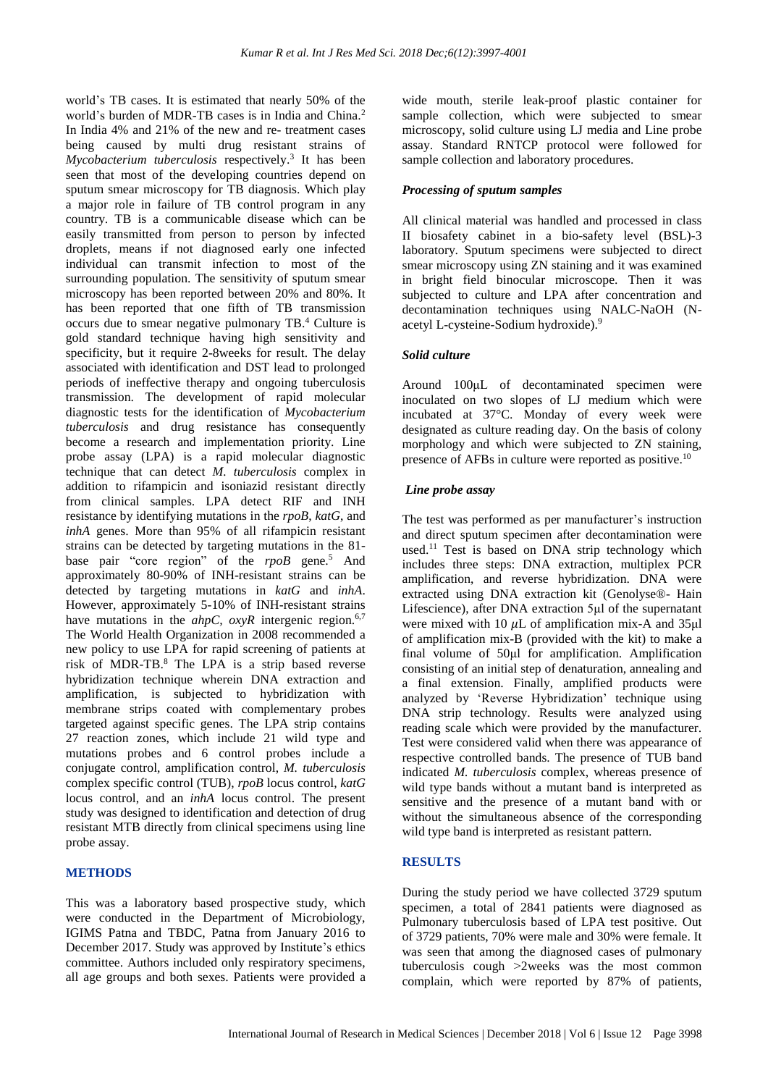world's TB cases. It is estimated that nearly 50% of the world's burden of MDR-TB cases is in India and China. 2 In India 4% and 21% of the new and re- treatment cases being caused by multi drug resistant strains of *Mycobacterium tuberculosis* respectively. 3 It has been seen that most of the developing countries depend on sputum smear microscopy for TB diagnosis. Which play a major role in failure of TB control program in any country. TB is a communicable disease which can be easily transmitted from person to person by infected droplets, means if not diagnosed early one infected individual can transmit infection to most of the surrounding population. The sensitivity of sputum smear microscopy has been reported between 20% and 80%. It has been reported that one fifth of TB transmission occurs due to smear negative pulmonary TB. <sup>4</sup> Culture is gold standard technique having high sensitivity and specificity, but it require 2-8weeks for result. The delay associated with identification and DST lead to prolonged periods of ineffective therapy and ongoing tuberculosis transmission. The development of rapid molecular diagnostic tests for the identification of *Mycobacterium tuberculosis* and drug resistance has consequently become a research and implementation priority. Line probe assay (LPA) is a rapid molecular diagnostic technique that can detect *M. tuberculosis* complex in addition to rifampicin and isoniazid resistant directly from clinical samples. LPA detect RIF and INH resistance by identifying mutations in the *rpoB*, *katG*, and *inhA* genes. More than 95% of all rifampicin resistant strains can be detected by targeting mutations in the 81 base pair "core region" of the *rpoB* gene. <sup>5</sup> And approximately 80-90% of INH-resistant strains can be detected by targeting mutations in *katG* and *inhA*. However, approximately 5-10% of INH-resistant strains have mutations in the *ahpC*, *oxyR* intergenic region.<sup>6,7</sup> The World Health Organization in 2008 recommended a new policy to use LPA for rapid screening of patients at risk of MDR-TB. <sup>8</sup> The LPA is a strip based reverse hybridization technique wherein DNA extraction and amplification, is subjected to hybridization with membrane strips coated with complementary probes targeted against specific genes. The LPA strip contains 27 reaction zones, which include 21 wild type and mutations probes and 6 control probes include a conjugate control, amplification control, *M. tuberculosis* complex specific control (TUB), *rpoB* locus control, *katG* locus control, and an *inhA* locus control. The present study was designed to identification and detection of drug resistant MTB directly from clinical specimens using line probe assay.

# **METHODS**

This was a laboratory based prospective study, which were conducted in the Department of Microbiology, IGIMS Patna and TBDC, Patna from January 2016 to December 2017. Study was approved by Institute's ethics committee. Authors included only respiratory specimens, all age groups and both sexes. Patients were provided a wide mouth, sterile leak-proof plastic container for sample collection, which were subjected to smear microscopy, solid culture using LJ media and Line probe assay. Standard RNTCP protocol were followed for sample collection and laboratory procedures.

#### *Processing of sputum samples*

All clinical material was handled and processed in class II biosafety cabinet in a bio-safety level (BSL)-3 laboratory. Sputum specimens were subjected to direct smear microscopy using ZN staining and it was examined in bright field binocular microscope. Then it was subjected to culture and LPA after concentration and decontamination techniques using NALC-NaOH (Nacetyl L-cysteine-Sodium hydroxide). 9

# *Solid culture*

Around 100μL of decontaminated specimen were inoculated on two slopes of LJ medium which were incubated at 37°C. Monday of every week were designated as culture reading day. On the basis of colony morphology and which were subjected to ZN staining, presence of AFBs in culture were reported as positive.<sup>10</sup>

# *Line probe assay*

The test was performed as per manufacturer's instruction and direct sputum specimen after decontamination were used. <sup>11</sup> Test is based on DNA strip technology which includes three steps: DNA extraction, multiplex PCR amplification, and reverse hybridization. DNA were extracted using DNA extraction kit (Genolyse®- Hain Lifescience), after DNA extraction 5μl of the supernatant were mixed with 10  $\mu$ L of amplification mix-A and 35 $\mu$ l of amplification mix-B (provided with the kit) to make a final volume of 50μl for amplification. Amplification consisting of an initial step of denaturation, annealing and a final extension. Finally, amplified products were analyzed by 'Reverse Hybridization' technique using DNA strip technology. Results were analyzed using reading scale which were provided by the manufacturer. Test were considered valid when there was appearance of respective controlled bands. The presence of TUB band indicated *M. tuberculosis* complex, whereas presence of wild type bands without a mutant band is interpreted as sensitive and the presence of a mutant band with or without the simultaneous absence of the corresponding wild type band is interpreted as resistant pattern.

# **RESULTS**

During the study period we have collected 3729 sputum specimen, a total of 2841 patients were diagnosed as Pulmonary tuberculosis based of LPA test positive. Out of 3729 patients, 70% were male and 30% were female. It was seen that among the diagnosed cases of pulmonary tuberculosis cough ˃2weeks was the most common complain, which were reported by 87% of patients,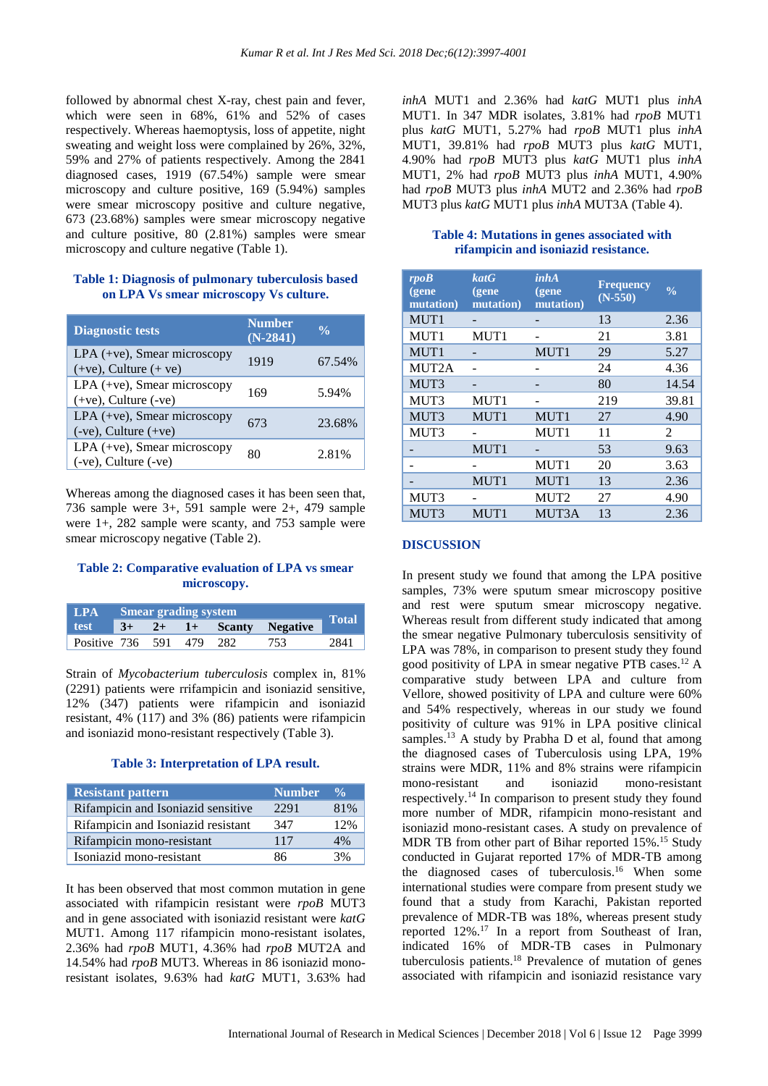followed by abnormal chest X-ray, chest pain and fever, which were seen in 68%, 61% and 52% of cases respectively. Whereas haemoptysis, loss of appetite, night sweating and weight loss were complained by 26%, 32%, 59% and 27% of patients respectively. Among the 2841 diagnosed cases, 1919 (67.54%) sample were smear microscopy and culture positive, 169 (5.94%) samples were smear microscopy positive and culture negative, 673 (23.68%) samples were smear microscopy negative and culture positive, 80 (2.81%) samples were smear microscopy and culture negative (Table 1).

#### **Table 1: Diagnosis of pulmonary tuberculosis based on LPA Vs smear microscopy Vs culture.**

| <b>Diagnostic tests</b>                                     | <b>Number</b><br>$(N-2841)$ | $\frac{0}{\alpha}$ |
|-------------------------------------------------------------|-----------------------------|--------------------|
| $LPA$ (+ve), Smear microscopy<br>$(+ve)$ , Culture $(+ve)$  | 1919                        | 67.54%             |
| LPA (+ve), Smear microscopy<br>$(+ve)$ , Culture $(-ve)$    | 169                         | 5.94%              |
| LPA $(+ve)$ , Smear microscopy<br>$(-ve)$ , Culture $(+ve)$ | 673                         | 23.68%             |
| LPA (+ve), Smear microscopy<br>(-ve), Culture (-ve)         | 80                          | 2.81%              |

Whereas among the diagnosed cases it has been seen that, 736 sample were 3+, 591 sample were 2+, 479 sample were 1+, 282 sample were scanty, and 753 sample were smear microscopy negative (Table 2).

# **Table 2: Comparative evaluation of LPA vs smear microscopy.**

| $\mathbf{LPA}$       | <b>Smear grading system</b> |  |  |      | <b>Total</b>            |      |
|----------------------|-----------------------------|--|--|------|-------------------------|------|
| test                 | $3+$                        |  |  |      | $2+$ 1+ Scanty Negative |      |
| Positive 736 591 479 |                             |  |  | -282 | 753                     | 2841 |

Strain of *Mycobacterium tuberculosis* complex in, 81% (2291) patients were rrifampicin and isoniazid sensitive, 12% (347) patients were rifampicin and isoniazid resistant, 4% (117) and 3% (86) patients were rifampicin and isoniazid mono-resistant respectively (Table 3).

#### **Table 3: Interpretation of LPA result.**

| Resistant pattern                  | <b>Number</b> | $\frac{0}{\alpha}$ |
|------------------------------------|---------------|--------------------|
| Rifampicin and Isoniazid sensitive | 2291          | 81%                |
| Rifampicin and Isoniazid resistant | 347           | 12%                |
| Rifampicin mono-resistant          | 117           | $4\%$              |
| Isoniazid mono-resistant           | 86            | 3%                 |

It has been observed that most common mutation in gene associated with rifampicin resistant were *rpoB* MUT3 and in gene associated with isoniazid resistant were *katG* MUT1. Among 117 rifampicin mono-resistant isolates, 2.36% had *rpoB* MUT1, 4.36% had *rpoB* MUT2A and 14.54% had *rpoB* MUT3. Whereas in 86 isoniazid monoresistant isolates, 9.63% had *katG* MUT1, 3.63% had *inhA* MUT1 and 2.36% had *katG* MUT1 plus *inhA* MUT1. In 347 MDR isolates, 3.81% had *rpoB* MUT1 plus *katG* MUT1, 5.27% had *rpoB* MUT1 plus *inhA* MUT1, 39.81% had *rpoB* MUT3 plus *katG* MUT1, 4.90% had *rpoB* MUT3 plus *katG* MUT1 plus *inhA* MUT1, 2% had *rpoB* MUT3 plus *inhA* MUT1, 4.90% had *rpoB* MUT3 plus *inhA* MUT2 and 2.36% had *rpoB* MUT3 plus *katG* MUT1 plus *inhA* MUT3A (Table 4).

#### **Table 4: Mutations in genes associated with rifampicin and isoniazid resistance.**

| rpoB<br>(gene<br>mutation) | katG<br>(gene)<br>mutation) | inhA<br>(gene<br>mutation) | <b>Frequency</b><br>$(N-550)$ | $\frac{0}{0}$  |
|----------------------------|-----------------------------|----------------------------|-------------------------------|----------------|
| MUT <sub>1</sub>           |                             |                            | 13                            | 2.36           |
| MUT1                       | MUT1                        |                            | 21                            | 3.81           |
| MUT <sub>1</sub>           |                             | MUT1                       | 29                            | 5.27           |
| MUT2A                      |                             |                            | 24                            | 4.36           |
| MUT3                       |                             |                            | 80                            | 14.54          |
| MUT3                       | MUT1                        |                            | 219                           | 39.81          |
| MUT3                       | MUT1                        | MUT1                       | 27                            | 4.90           |
| MUT3                       |                             | MUT1                       | 11                            | $\mathfrak{D}$ |
|                            | MUT1                        |                            | 53                            | 9.63           |
|                            |                             | MUT1                       | 20                            | 3.63           |
|                            | MUT1                        | MUT1                       | 13                            | 2.36           |
| MUT3                       |                             | MUT <sub>2</sub>           | 27                            | 4.90           |
| MUT3                       | MUT1                        | MUT3A                      | 13                            | 2.36           |

#### **DISCUSSION**

In present study we found that among the LPA positive samples, 73% were sputum smear microscopy positive and rest were sputum smear microscopy negative. Whereas result from different study indicated that among the smear negative Pulmonary tuberculosis sensitivity of LPA was 78%, in comparison to present study they found good positivity of LPA in smear negative PTB cases. <sup>12</sup> A comparative study between LPA and culture from Vellore, showed positivity of LPA and culture were 60% and 54% respectively, whereas in our study we found positivity of culture was 91% in LPA positive clinical samples.<sup>13</sup> A study by Prabha D et al, found that among the diagnosed cases of Tuberculosis using LPA, 19% strains were MDR, 11% and 8% strains were rifampicin mono-resistant and isoniazid mono-resistant respectively. <sup>14</sup> In comparison to present study they found more number of MDR, rifampicin mono-resistant and isoniazid mono-resistant cases. A study on prevalence of MDR TB from other part of Bihar reported 15%. <sup>15</sup> Study conducted in Gujarat reported 17% of MDR-TB among the diagnosed cases of tuberculosis. <sup>16</sup> When some international studies were compare from present study we found that a study from Karachi, Pakistan reported prevalence of MDR-TB was 18%, whereas present study reported 12%. <sup>17</sup> In a report from Southeast of Iran, indicated 16% of MDR-TB cases in Pulmonary tuberculosis patients. <sup>18</sup> Prevalence of mutation of genes associated with rifampicin and isoniazid resistance vary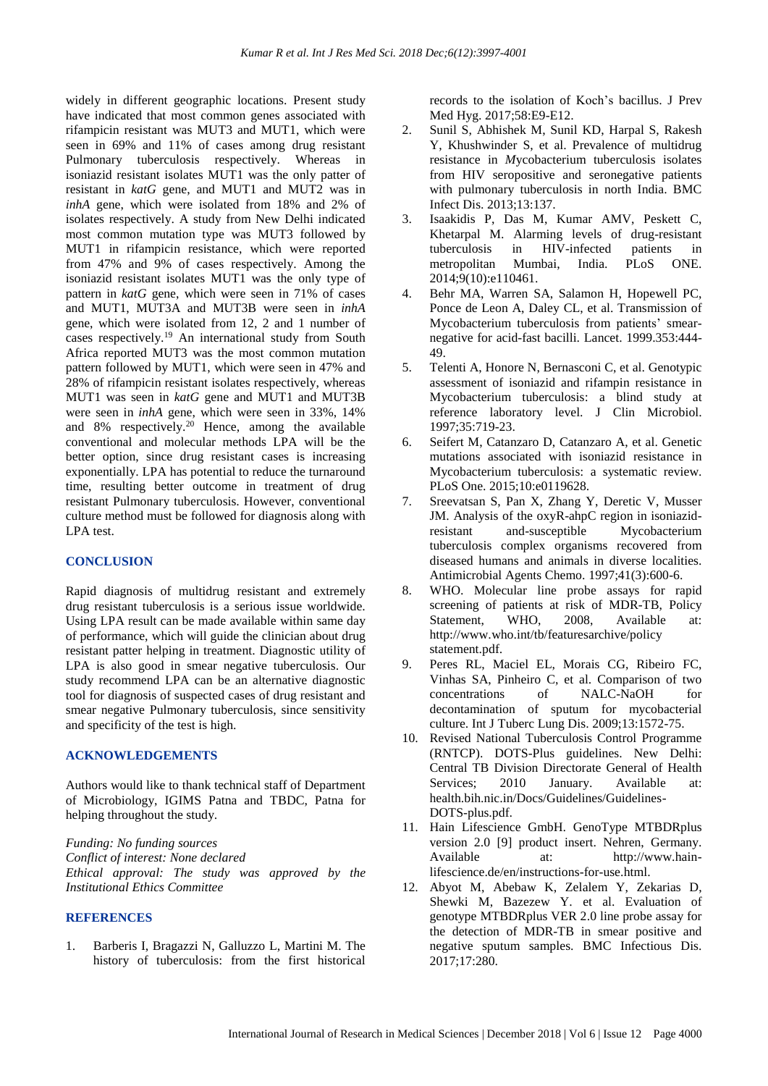widely in different geographic locations. Present study have indicated that most common genes associated with rifampicin resistant was MUT3 and MUT1, which were seen in 69% and 11% of cases among drug resistant Pulmonary tuberculosis respectively. Whereas in isoniazid resistant isolates MUT1 was the only patter of resistant in *katG* gene, and MUT1 and MUT2 was in *inhA* gene, which were isolated from 18% and 2% of isolates respectively. A study from New Delhi indicated most common mutation type was MUT3 followed by MUT1 in rifampicin resistance, which were reported from 47% and 9% of cases respectively. Among the isoniazid resistant isolates MUT1 was the only type of pattern in *katG* gene, which were seen in 71% of cases and MUT1, MUT3A and MUT3B were seen in *inhA* gene, which were isolated from 12, 2 and 1 number of cases respectively. <sup>19</sup> An international study from South Africa reported MUT3 was the most common mutation pattern followed by MUT1, which were seen in 47% and 28% of rifampicin resistant isolates respectively, whereas MUT1 was seen in *katG* gene and MUT1 and MUT3B were seen in *inhA* gene, which were seen in 33%, 14% and 8% respectively. <sup>20</sup> Hence, among the available conventional and molecular methods LPA will be the better option, since drug resistant cases is increasing exponentially. LPA has potential to reduce the turnaround time, resulting better outcome in treatment of drug resistant Pulmonary tuberculosis. However, conventional culture method must be followed for diagnosis along with LPA test.

#### **CONCLUSION**

Rapid diagnosis of multidrug resistant and extremely drug resistant tuberculosis is a serious issue worldwide. Using LPA result can be made available within same day of performance, which will guide the clinician about drug resistant patter helping in treatment. Diagnostic utility of LPA is also good in smear negative tuberculosis. Our study recommend LPA can be an alternative diagnostic tool for diagnosis of suspected cases of drug resistant and smear negative Pulmonary tuberculosis, since sensitivity and specificity of the test is high.

#### **ACKNOWLEDGEMENTS**

Authors would like to thank technical staff of Department of Microbiology, IGIMS Patna and TBDC, Patna for helping throughout the study.

*Funding: No funding sources Conflict of interest: None declared Ethical approval: The study was approved by the Institutional Ethics Committee*

#### **REFERENCES**

1. Barberis I, Bragazzi N, Galluzzo L, Martini M. The history of tuberculosis: from the first historical records to the isolation of Koch's bacillus. J Prev Med Hyg. 2017;58:E9-E12.

- 2. Sunil S, Abhishek M, Sunil KD, Harpal S, Rakesh Y, Khushwinder S, et al. Prevalence of multidrug resistance in *M*ycobacterium tuberculosis isolates from HIV seropositive and seronegative patients with pulmonary tuberculosis in north India. BMC Infect Dis. 2013;13:137.
- 3. Isaakidis P, Das M, Kumar AMV, Peskett C, Khetarpal M. Alarming levels of drug-resistant tuberculosis in HIV-infected patients in metropolitan Mumbai, India. PLoS ONE. 2014;9(10):e110461.
- 4. Behr MA, Warren SA, Salamon H, Hopewell PC, Ponce de Leon A, Daley CL, et al. Transmission of Mycobacterium tuberculosis from patients' smearnegative for acid-fast bacilli. Lancet. 1999.353:444- 49.
- 5. Telenti A, Honore N, Bernasconi C, et al. Genotypic assessment of isoniazid and rifampin resistance in Mycobacterium tuberculosis: a blind study at reference laboratory level. J Clin Microbiol. 1997;35:719-23.
- 6. Seifert M, Catanzaro D, Catanzaro A, et al. Genetic mutations associated with isoniazid resistance in Mycobacterium tuberculosis: a systematic review. PLoS One. 2015;10:e0119628.
- 7. Sreevatsan S, Pan X, Zhang Y, Deretic V, Musser JM. Analysis of the oxyR-ahpC region in isoniazidresistant and-susceptible Mycobacterium tuberculosis complex organisms recovered from diseased humans and animals in diverse localities. Antimicrobial Agents Chemo. 1997;41(3):600-6.
- 8. WHO. Molecular line probe assays for rapid screening of patients at risk of MDR-TB, Policy Statement, WHO, 2008, Available at: http://www.who.int/tb/featuresarchive/policy statement.pdf.
- 9. Peres RL, Maciel EL, Morais CG, Ribeiro FC, Vinhas SA, Pinheiro C, et al. Comparison of two concentrations of NALC-NaOH for decontamination of sputum for mycobacterial culture. Int J Tuberc Lung Dis. 2009;13:1572-75.
- 10. Revised National Tuberculosis Control Programme (RNTCP). DOTS-Plus guidelines. New Delhi: Central TB Division Directorate General of Health Services; 2010 January. Available at: health.bih.nic.in/Docs/Guidelines/Guidelines-DOTS-plus.pdf.
- 11. Hain Lifescience GmbH. GenoType MTBDRplus version 2.0 [9] product insert. Nehren, Germany. Available at: http://www.hainlifescience.de/en/instructions-for-use.html.
- 12. Abyot M, Abebaw K, Zelalem Y, Zekarias D, Shewki M, Bazezew Y. et al. Evaluation of genotype MTBDRplus VER 2.0 line probe assay for the detection of MDR-TB in smear positive and negative sputum samples. BMC Infectious Dis. 2017;17:280.